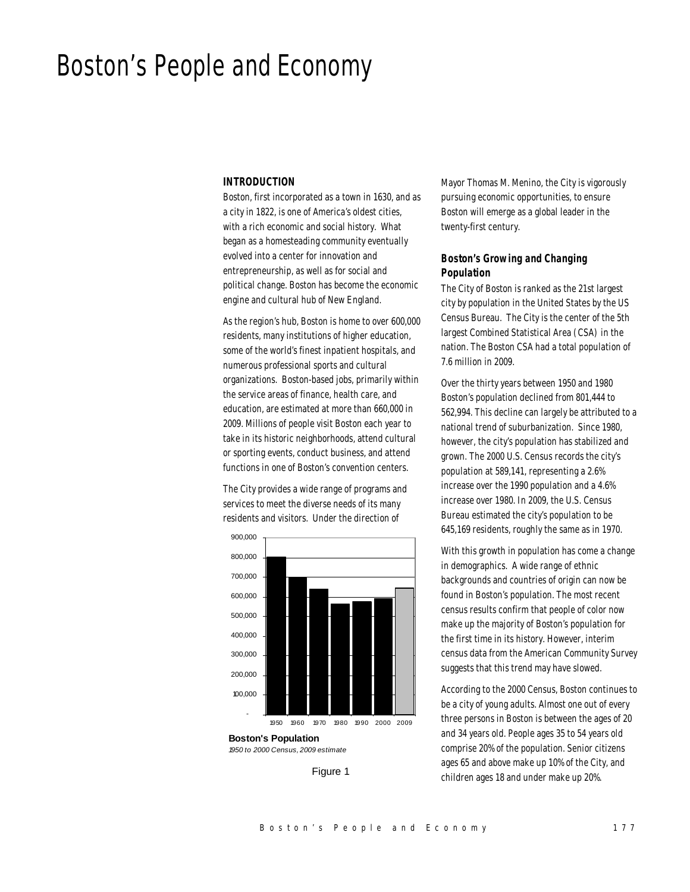# Boston's People and Economy

#### *INTRODUCTION*

Boston, first incorporated as a town in 1630, and as a city in 1822, is one of America's oldest cities, with a rich economic and social history. What began as a homesteading community eventually evolved into a center for innovation and entrepreneurship, as well as for social and political change. Boston has become the economic engine and cultural hub of New England.

As the region's hub, Boston is home to over 600,000 residents, many institutions of higher education, some of the world's finest inpatient hospitals, and numerous professional sports and cultural organizations. Boston-based jobs, primarily within the service areas of finance, health care, and education, are estimated at more than 660,000 in 2009. Millions of people visit Boston each year to take in its historic neighborhoods, attend cultural or sporting events, conduct business, and attend functions in one of Boston's convention centers.

The City provides a wide range of programs and services to meet the diverse needs of its many residents and visitors. Under the direction of



**Boston's Population** *1950 to 2000 Census, 2009 estimate*

Figure 1

Mayor Thomas M. Menino, the City is vigorously pursuing economic opportunities, to ensure Boston will emerge as a global leader in the twenty-first century.

## *Boston's Growing and Changing Population*

The City of Boston is ranked as the 21st largest city by population in the United States by the US Census Bureau. The City is the center of the 5th largest Combined Statistical Area (CSA) in the nation. The Boston CSA had a total population of 7.6 million in 2009.

Over the thirty years between 1950 and 1980 Boston's population declined from 801,444 to 562,994. This decline can largely be attributed to a national trend of suburbanization. Since 1980, however, the city's population has stabilized and grown. The 2000 U.S. Census records the city's population at 589,141, representing a 2.6% increase over the 1990 population and a 4.6% increase over 1980. In 2009, the U.S. Census Bureau estimated the city's population to be 645,169 residents, roughly the same as in 1970.

With this growth in population has come a change in demographics. A wide range of ethnic backgrounds and countries of origin can now be found in Boston's population. The most recent census results confirm that people of color now make up the majority of Boston's population for the first time in its history. However, interim census data from the American Community Survey suggests that this trend may have slowed.

According to the 2000 Census, Boston continues to be a city of young adults. Almost one out of every three persons in Boston is between the ages of 20 and 34 years old. People ages 35 to 54 years old comprise 20% of the population. Senior citizens ages 65 and above make up 10% of the City, and children ages 18 and under make up 20%.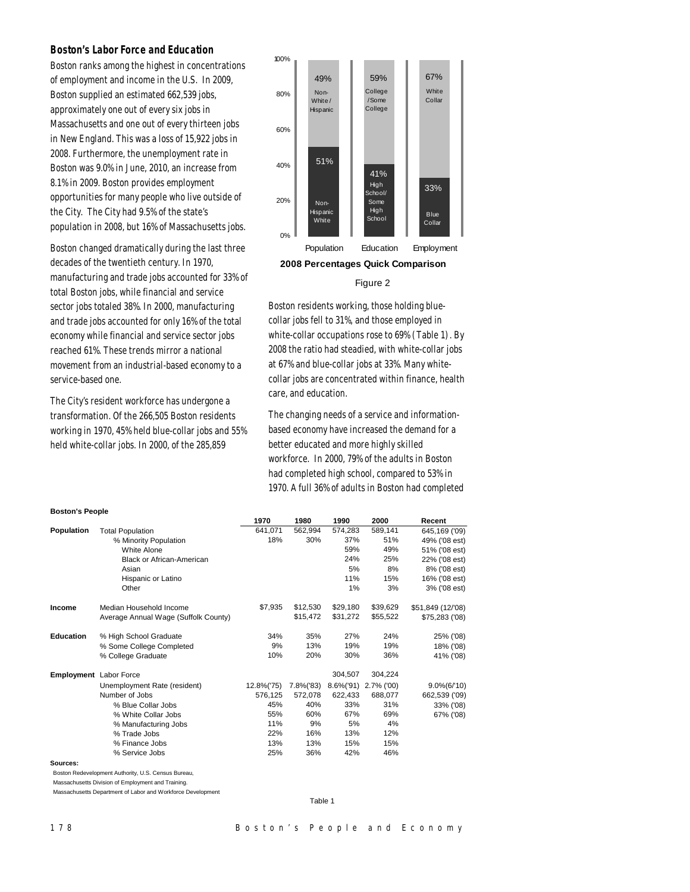## *Boston's Labor Force and Education*

Boston ranks among the highest in concentrations of employment and income in the U.S. In 2009, Boston supplied an estimated 662,539 jobs, approximately one out of every six jobs in Massachusetts and one out of every thirteen jobs in New England. This was a loss of 15,922 jobs in 2008. Furthermore, the unemployment rate in Boston was 9.0% in June, 2010, an increase from 8.1% in 2009. Boston provides employment opportunities for many people who live outside of the City. The City had 9.5% of the state's population in 2008, but 16% of Massachusetts jobs.

Boston changed dramatically during the last three decades of the twentieth century. In 1970, manufacturing and trade jobs accounted for 33% of total Boston jobs, while financial and service sector jobs totaled 38%. In 2000, manufacturing and trade jobs accounted for only 16% of the total economy while financial and service sector jobs reached 61%. These trends mirror a national movement from an industrial-based economy to a service-based one.

The City's resident workforce has undergone a transformation. Of the 266,505 Boston residents working in 1970, 45% held blue-collar jobs and 55% held white-collar jobs. In 2000, of the 285,859



#### Figure 2

Boston residents working, those holding bluecollar jobs fell to 31%, and those employed in white-collar occupations rose to 69% (Table 1). By 2008 the ratio had steadied, with white-collar jobs at 67% and blue-collar jobs at 33%. Many whitecollar jobs are concentrated within finance, health care, and education.

The changing needs of a service and informationbased economy have increased the demand for a better educated and more highly skilled workforce. In 2000, 79% of the adults in Boston had completed high school, compared to 53% in 1970. A full 36% of adults in Boston had completed

| <b>Boston's People</b> |  |
|------------------------|--|

|                               |                                                     | 1970       | 1980      | 1990          | 2000       | Recent            |
|-------------------------------|-----------------------------------------------------|------------|-----------|---------------|------------|-------------------|
| <b>Population</b>             | <b>Total Population</b>                             | 641,071    | 562,994   | 574,283       | 589,141    | 645,169 ('09)     |
|                               | % Minority Population                               | 18%        | 30%       | 37%           | 51%        | 49% ('08 est)     |
|                               | White Alone                                         |            |           | 59%           | 49%        | 51% ('08 est)     |
|                               | <b>Black or African-American</b>                    |            |           | 24%           | 25%        | 22% ('08 est)     |
|                               | Asian                                               |            |           | 5%            | 8%         | 8% ('08 est)      |
|                               | Hispanic or Latino                                  |            |           | 11%           | 15%        | 16% ('08 est)     |
|                               | Other                                               |            |           | 1%            | 3%         | 3% ('08 est)      |
| Income                        | Median Household Income                             | \$7,935    | \$12,530  | \$29,180      | \$39,629   | \$51,849 (12/'08) |
|                               | Average Annual Wage (Suffolk County)                |            | \$15,472  | \$31,272      | \$55,522   | \$75,283 ('08)    |
| <b>Education</b>              | % High School Graduate                              | 34%        | 35%       | 27%           | 24%        | 25% ('08)         |
|                               | % Some College Completed                            | 9%         | 13%       | 19%           | 19%        | 18% ('08)         |
|                               | % College Graduate                                  | 10%        | 20%       | 30%           | 36%        | 41% ('08)         |
| <b>Employment</b> Labor Force |                                                     |            |           | 304,507       | 304,224    |                   |
|                               | Unemployment Rate (resident)                        | 12.8%('75) | 7.8%('83) | $8.6\%$ ('91) | 2.7% ('00) | $9.0\%(6/10)$     |
|                               | Number of Jobs                                      | 576,125    | 572,078   | 622,433       | 688,077    | 662,539 ('09)     |
|                               | % Blue Collar Jobs                                  | 45%        | 40%       | 33%           | 31%        | 33% ('08)         |
|                               | % White Collar Jobs                                 | 55%        | 60%       | 67%           | 69%        | 67% ('08)         |
|                               | % Manufacturing Jobs                                | 11%        | 9%        | 5%            | 4%         |                   |
|                               | % Trade Jobs                                        | 22%        | 16%       | 13%           | 12%        |                   |
|                               | % Finance Jobs                                      | 13%        | 13%       | 15%           | 15%        |                   |
|                               | % Service Jobs                                      | 25%        | 36%       | 42%           | 46%        |                   |
| Sources:                      |                                                     |            |           |               |            |                   |
|                               | Boston Redevelopment Authority, U.S. Census Bureau, |            |           |               |            |                   |
|                               |                                                     |            |           |               |            |                   |

Massachusetts Division of Employment and Training.

Massachusetts Department of Labor and Workforce Development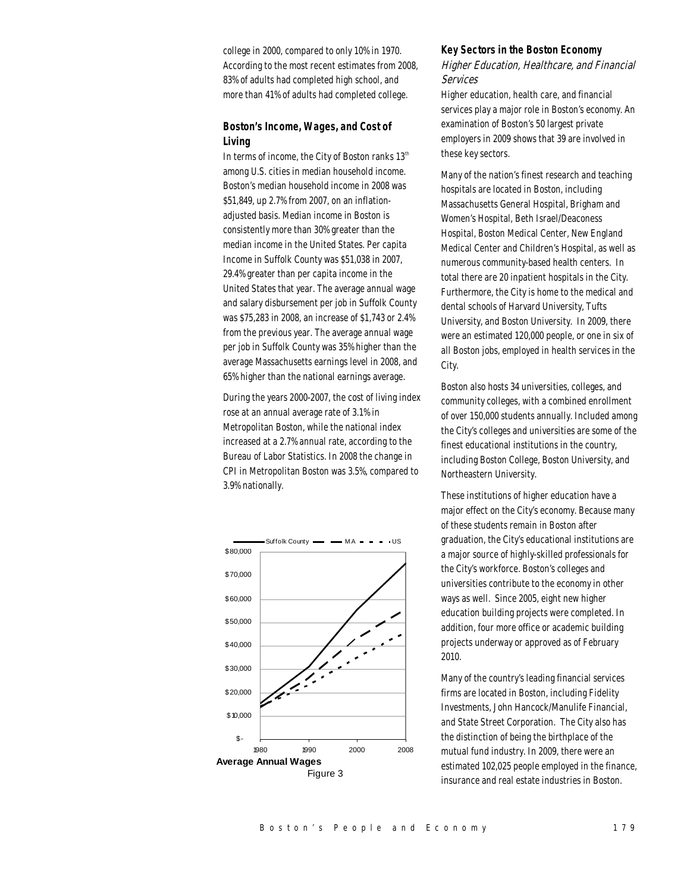college in 2000, compared to only 10% in 1970. According to the most recent estimates from 2008, 83% of adults had completed high school, and more than 41% of adults had completed college.

## *Boston's Income, Wages, and Cost of Living*

In terms of income, the City of Boston ranks  $13<sup>th</sup>$ among U.S. cities in median household income. Boston's median household income in 2008 was \$51,849, up 2.7% from 2007, on an inflationadjusted basis. Median income in Boston is consistently more than 30% greater than the median income in the United States. Per capita Income in Suffolk County was \$51,038 in 2007, 29.4% greater than per capita income in the United States that year. The average annual wage and salary disbursement per job in Suffolk County was \$75,283 in 2008, an increase of \$1,743 or 2.4% from the previous year. The average annual wage per job in Suffolk County was 35% higher than the average Massachusetts earnings level in 2008, and 65% higher than the national earnings average.

During the years 2000-2007, the cost of living index rose at an annual average rate of 3.1% in Metropolitan Boston, while the national index increased at a 2.7% annual rate, according to the Bureau of Labor Statistics. In 2008 the change in CPI in Metropolitan Boston was 3.5%, compared to 3.9% nationally.



#### *Key Sectors in the Boston Economy*

## Higher Education, Healthcare, and Financial Services

Higher education, health care, and financial services play a major role in Boston's economy. An examination of Boston's 50 largest private employers in 2009 shows that 39 are involved in these key sectors.

Many of the nation's finest research and teaching hospitals are located in Boston, including Massachusetts General Hospital, Brigham and Women's Hospital, Beth Israel/Deaconess Hospital, Boston Medical Center, New England Medical Center and Children's Hospital, as well as numerous community-based health centers. In total there are 20 inpatient hospitals in the City. Furthermore, the City is home to the medical and dental schools of Harvard University, Tufts University, and Boston University. In 2009, there were an estimated 120,000 people, or one in six of all Boston jobs, employed in health services in the City.

Boston also hosts 34 universities, colleges, and community colleges, with a combined enrollment of over 150,000 students annually. Included among the City's colleges and universities are some of the finest educational institutions in the country, including Boston College, Boston University, and Northeastern University.

These institutions of higher education have a major effect on the City's economy. Because many of these students remain in Boston after graduation, the City's educational institutions are a major source of highly-skilled professionals for the City's workforce. Boston's colleges and universities contribute to the economy in other ways as well. Since 2005, eight new higher education building projects were completed. In addition, four more office or academic building projects underway or approved as of February 2010.

Many of the country's leading financial services firms are located in Boston, including Fidelity Investments, John Hancock/Manulife Financial, and State Street Corporation. The City also has the distinction of being the birthplace of the mutual fund industry. In 2009, there were an estimated 102,025 people employed in the finance, insurance and real estate industries in Boston.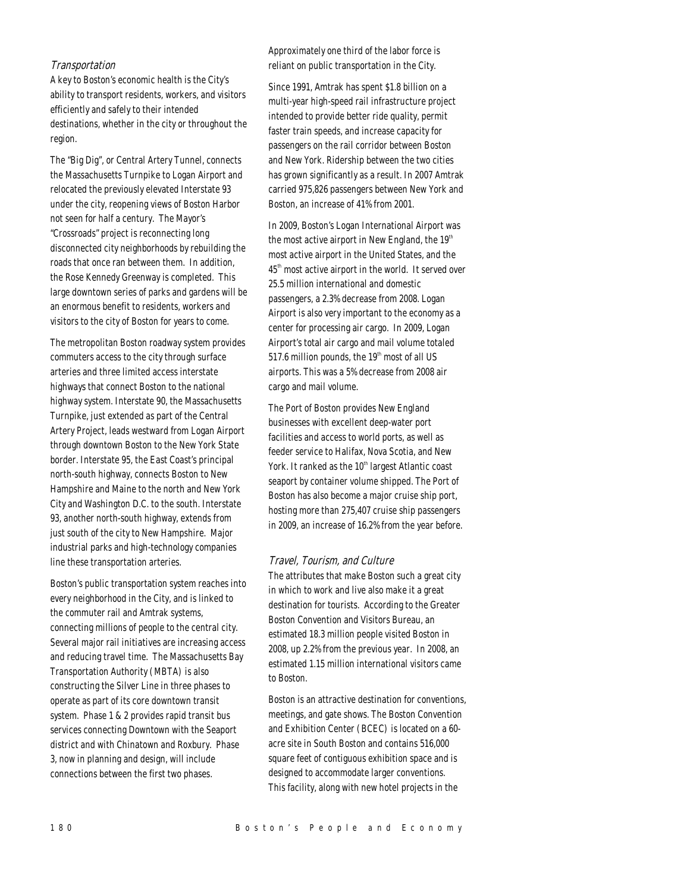#### Transportation

A key to Boston's economic health is the City's ability to transport residents, workers, and visitors efficiently and safely to their intended destinations, whether in the city or throughout the region.

The "Big Dig", or Central Artery Tunnel, connects the Massachusetts Turnpike to Logan Airport and relocated the previously elevated Interstate 93 under the city, reopening views of Boston Harbor not seen for half a century. The Mayor's "Crossroads" project is reconnecting long disconnected city neighborhoods by rebuilding the roads that once ran between them. In addition, the Rose Kennedy Greenway is completed. This large downtown series of parks and gardens will be an enormous benefit to residents, workers and visitors to the city of Boston for years to come.

The metropolitan Boston roadway system provides commuters access to the city through surface arteries and three limited access interstate highways that connect Boston to the national highway system. Interstate 90, the Massachusetts Turnpike, just extended as part of the Central Artery Project, leads westward from Logan Airport through downtown Boston to the New York State border. Interstate 95, the East Coast's principal north-south highway, connects Boston to New Hampshire and Maine to the north and New York City and Washington D.C. to the south. Interstate 93, another north-south highway, extends from just south of the city to New Hampshire. Major industrial parks and high-technology companies line these transportation arteries.

Boston's public transportation system reaches into every neighborhood in the City, and is linked to the commuter rail and Amtrak systems, connecting millions of people to the central city. Several major rail initiatives are increasing access and reducing travel time. The Massachusetts Bay Transportation Authority (MBTA) is also constructing the Silver Line in three phases to operate as part of its core downtown transit system. Phase 1 & 2 provides rapid transit bus services connecting Downtown with the Seaport district and with Chinatown and Roxbury. Phase 3, now in planning and design, will include connections between the first two phases.

Approximately one third of the labor force is reliant on public transportation in the City.

Since 1991, Amtrak has spent \$1.8 billion on a multi-year high-speed rail infrastructure project intended to provide better ride quality, permit faster train speeds, and increase capacity for passengers on the rail corridor between Boston and New York. Ridership between the two cities has grown significantly as a result. In 2007 Amtrak carried 975,826 passengers between New York and Boston, an increase of 41% from 2001.

In 2009, Boston's Logan International Airport was the most active airport in New England, the  $19<sup>th</sup>$ most active airport in the United States, and the 45<sup>th</sup> most active airport in the world. It served over 25.5 million international and domestic passengers, a 2.3% decrease from 2008. Logan Airport is also very important to the economy as a center for processing air cargo. In 2009, Logan Airport's total air cargo and mail volume totaled 517.6 million pounds, the  $19<sup>th</sup>$  most of all US airports. This was a 5% decrease from 2008 air cargo and mail volume.

The Port of Boston provides New England businesses with excellent deep-water port facilities and access to world ports, as well as feeder service to Halifax, Nova Scotia, and New York. It ranked as the 10<sup>th</sup> largest Atlantic coast seaport by container volume shipped. The Port of Boston has also become a major cruise ship port, hosting more than 275,407 cruise ship passengers in 2009, an increase of 16.2% from the year before.

# Travel, Tourism, and Culture

The attributes that make Boston such a great city in which to work and live also make it a great destination for tourists. According to the Greater Boston Convention and Visitors Bureau, an estimated 18.3 million people visited Boston in 2008, up 2.2% from the previous year. In 2008, an estimated 1.15 million international visitors came to Boston.

Boston is an attractive destination for conventions, meetings, and gate shows. The Boston Convention and Exhibition Center (BCEC) is located on a 60 acre site in South Boston and contains 516,000 square feet of contiguous exhibition space and is designed to accommodate larger conventions. This facility, along with new hotel projects in the